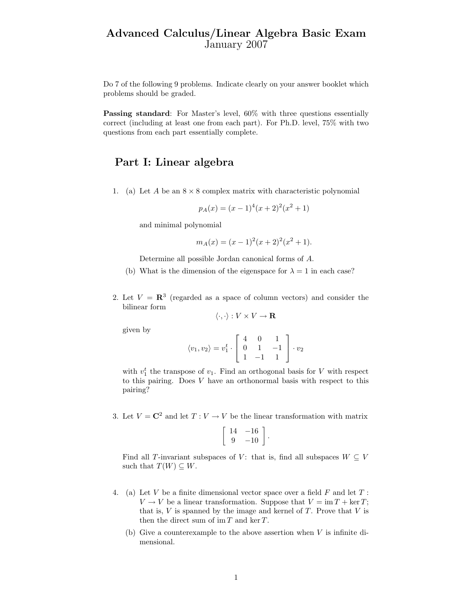## Advanced Calculus/Linear Algebra Basic Exam January 2007

Do 7 of the following 9 problems. Indicate clearly on your answer booklet which problems should be graded.

Passing standard: For Master's level,  $60\%$  with three questions essentially correct (including at least one from each part). For Ph.D. level, 75% with two questions from each part essentially complete.

## Part I: Linear algebra

1. (a) Let A be an  $8 \times 8$  complex matrix with characteristic polynomial

$$
p_A(x) = (x - 1)^4 (x + 2)^2 (x^2 + 1)
$$

and minimal polynomial

$$
m_A(x) = (x - 1)^2(x + 2)^2(x^2 + 1).
$$

Determine all possible Jordan canonical forms of A.

- (b) What is the dimension of the eigenspace for  $\lambda = 1$  in each case?
- 2. Let  $V = \mathbb{R}^3$  (regarded as a space of column vectors) and consider the bilinear form

$$
\langle \cdot, \cdot \rangle: V \times V \to \mathbf{R}
$$

given by

$$
\langle v_1, v_2 \rangle = v_1^t \cdot \left[ \begin{array}{rrr} 4 & 0 & 1 \\ 0 & 1 & -1 \\ 1 & -1 & 1 \end{array} \right] \cdot v_2
$$

with  $v_1^t$  the transpose of  $v_1$ . Find an orthogonal basis for V with respect to this pairing. Does V have an orthonormal basis with respect to this pairing?

3. Let  $V = \mathbb{C}^2$  and let  $T: V \to V$  be the linear transformation with matrix

$$
\left[\begin{array}{cc} 14 & -16 \\ 9 & -10 \end{array}\right].
$$

Find all T-invariant subspaces of V: that is, find all subspaces  $W \subseteq V$ such that  $T(W) \subseteq W$ .

- 4. (a) Let V be a finite dimensional vector space over a field  $F$  and let  $T$ :  $V \to V$  be a linear transformation. Suppose that  $V = \text{im } T + \text{ker } T$ ; that is,  $V$  is spanned by the image and kernel of  $T$ . Prove that  $V$  is then the direct sum of  $\operatorname{im} T$  and  $\ker T$ .
	- (b) Give a counterexample to the above assertion when  $V$  is infinite dimensional.